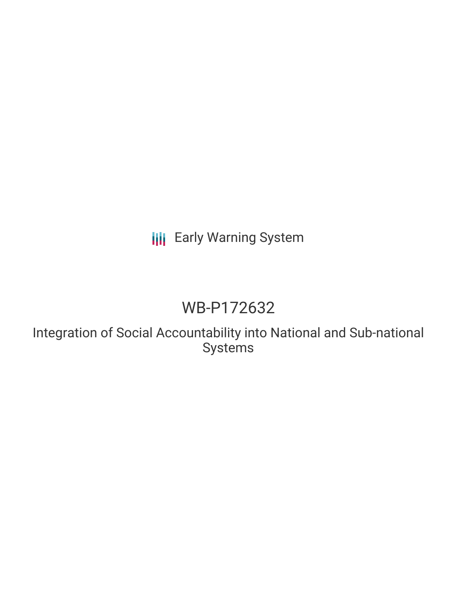# **III** Early Warning System

# WB-P172632

Integration of Social Accountability into National and Sub-national Systems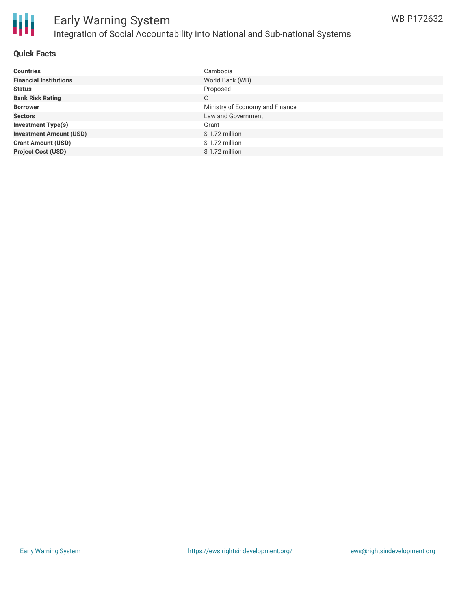

#### **Quick Facts**

| <b>Countries</b>               | Cambodia                        |
|--------------------------------|---------------------------------|
| <b>Financial Institutions</b>  | World Bank (WB)                 |
| <b>Status</b>                  | Proposed                        |
| <b>Bank Risk Rating</b>        | C                               |
| <b>Borrower</b>                | Ministry of Economy and Finance |
| <b>Sectors</b>                 | Law and Government              |
| <b>Investment Type(s)</b>      | Grant                           |
| <b>Investment Amount (USD)</b> | $$1.72$ million                 |
| <b>Grant Amount (USD)</b>      | $$1.72$ million                 |
| <b>Project Cost (USD)</b>      | \$1.72 million                  |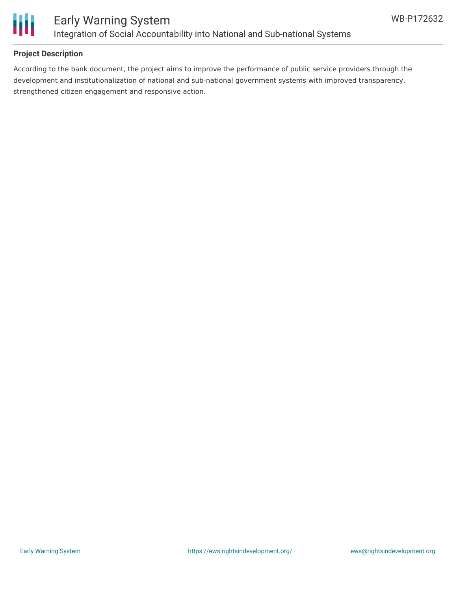

## **Project Description**

According to the bank document, the project aims to improve the performance of public service providers through the development and institutionalization of national and sub-national government systems with improved transparency, strengthened citizen engagement and responsive action.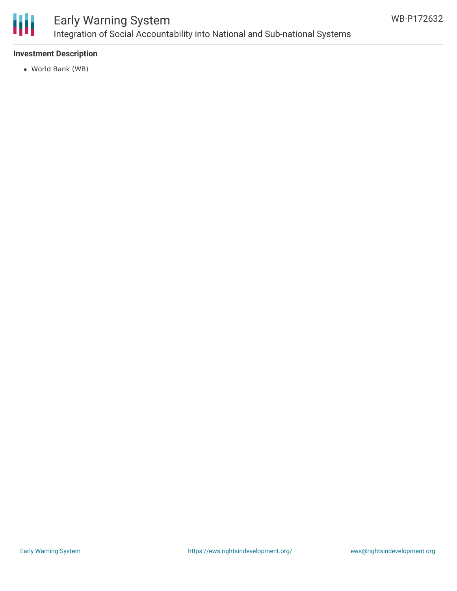

# Early Warning System Integration of Social Accountability into National and Sub-national Systems

## **Investment Description**

World Bank (WB)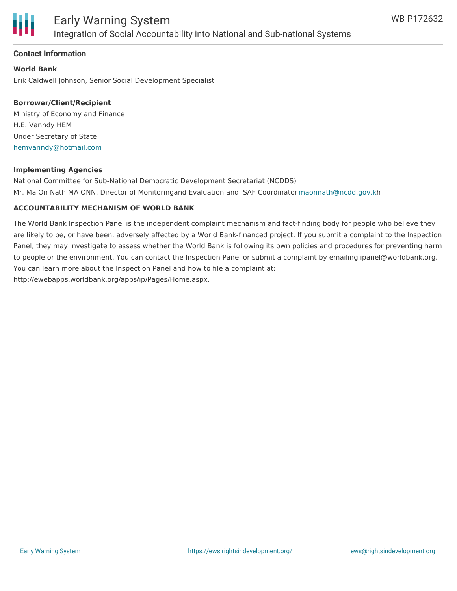

### **Contact Information**

**World Bank** Erik Caldwell Johnson, Senior Social Development Specialist

### **Borrower/Client/Recipient**

Ministry of Economy and Finance H.E. Vanndy HEM Under Secretary of State [hemvanndy@hotmail.com](mailto:hemvanndy@hotmail.com)

#### **Implementing Agencies**

National Committee for Sub-National Democratic Development Secretariat (NCDDS) Mr. Ma On Nath MA ONN, Director of Monitoringand Evaluation and ISAF Coordinator [maonnath@ncdd.gov.k](mailto:maonnath@ncdd.gov.k)h

#### **ACCOUNTABILITY MECHANISM OF WORLD BANK**

The World Bank Inspection Panel is the independent complaint mechanism and fact-finding body for people who believe they are likely to be, or have been, adversely affected by a World Bank-financed project. If you submit a complaint to the Inspection Panel, they may investigate to assess whether the World Bank is following its own policies and procedures for preventing harm to people or the environment. You can contact the Inspection Panel or submit a complaint by emailing ipanel@worldbank.org. You can learn more about the Inspection Panel and how to file a complaint at: http://ewebapps.worldbank.org/apps/ip/Pages/Home.aspx.